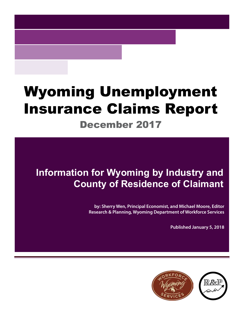# Wyoming Unemployment Insurance Claims Report

### December 2017

## **Information for Wyoming by Industry and County of Residence of Claimant**

**by: Sherry Wen, Principal Economist, and Michael Moore, Editor Research & Planning, Wyoming Department of Workforce Services**

**Published January 5, 2018**

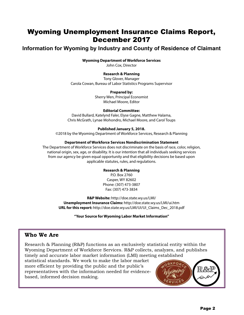### Wyoming Unemployment Insurance Claims Report, December 2017

### **Information for Wyoming by Industry and County of Residence of Claimant**

#### **Wyoming Department of Workforce Services**

John Cox, Director

#### **Research & Planning**

Tony Glover, Manager Carola Cowan, Bureau of Labor Statistics Programs Supervisor

#### **Prepared by:**

Sherry Wen, Principal Economist Michael Moore, Editor

#### **Editorial Committee:**

David Bullard, Katelynd Faler, Elyse Gagne, Matthew Halama, Chris McGrath, Lynae Mohondro, Michael Moore, and Carol Toups

#### **Published January 5, 2018.**

©2018 by the Wyoming Department of Workforce Services, Research & Planning

#### **Department of Workforce Services Nondiscrimination Statement**

The Department of Workforce Services does not discriminate on the basis of race, color, religion, national origin, sex, age, or disability. It is our intention that all individuals seeking services from our agency be given equal opportunity and that eligibility decisions be based upon applicable statutes, rules, and regulations.

#### **Research & Planning**

P.O. Box 2760 Casper, WY 82602 Phone: (307) 473-3807 Fax: (307) 473-3834

**R&P Website:** http://doe.state.wy.us/LMI/ **Unemployment Insurance Claims:** http://doe.state.wy.us/LMI/ui.htm **URL for this report:** http://doe.state.wy.us/LMI/UI/UI\_Claims\_Dec\_2018.pdf

**"Your Source for Wyoming Labor Market Information"**

#### **Who We Are**

Research & Planning (R&P) functions as an exclusively statistical entity within the Wyoming Department of Workforce Services. R&P collects, analyzes, and publishes timely and accurate labor market information (LMI) meeting established

statistical standards. We work to make the labor market more efficient by providing the public and the public's representatives with the information needed for evidencebased, informed decision making.

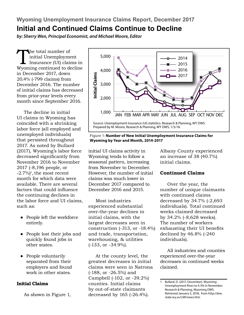**Wyoming Unemployment Insurance Claims Report, December 2017**

### **Initial and Continued Claims Continue to Decline**

*by: Sherry Wen, Principal Economist, and Michael Moore, Editor*

The total number of<br>
initial Unemployment<br>
Insurance (UI) claims in<br>
Wyoming continued to decline initial Unemployment Insurance (UI) claims in in December 2017, down 20.4% (-799 claims) from December 2016. The number of initial claims has decreased from prior-year levels every month since September 2016.

The decline in initial UI claims in Wyoming has coincided with a shrinking labor force (all employed and unemployed individuals) that persisted throughout 2017. As noted by Bullard (2017), Wyoming's labor force decreased significantly from November 2016 to November 2017 (-8,196 people, or  $-2.7\%$ <sup>1</sup>, the most recent month for which data were available. There are several factors that could influence the continuing declines in the labor force and UI claims, such as:

- People left the workforce entirely.
- People lost their jobs and quickly found jobs in other states.
- People voluntarily separated from their employers and found work in other states.

#### **Initial Claims**

As shown in Figure 1,



#### **Figure 1: Number of New Initial Unemployment Insurance Claims for Wyoming by Year and Month, 2014-2017**

initial UI claims activity in Wyoming tends to follow a seasonal pattern, increasing from November to December. However, the number of initial claims was much lower in December 2017 compared to December 2016 and 2015.

Most industries experienced substantial over-the-year declines in initial claims, with the largest decreases seen in construction (-313, or -18.4%) and trade, transportation, warehousing, & utilities (-133, or -34.9%).

At the county level, the greatest decreases in initial claims were seen in Natrona (-188, or -26.5%) and Campbell (-102, or -39.2%) counties. Initial claims by out-of-state claimants decreased by 165 (-26.4%).

Albany County experienced an increase of 38 (40.7%) initial claims.

#### **Continued Claims**

Over the year, the number of unique claimants with continued claims decreased by 34.7% (-2,693 individuals). Total continued weeks claimed decreased by 34.2% (-8,628 weeks). The number of workers exhausting their UI benefits declined by 46.8% (-240 individuals).

All industries and counties experienced over-the-year decreases in continued weeks claimed.

<sup>1</sup> Bullard, D. (2017, December). Wyoming Unemployment Rises to 4.3% in November. Research & Planning, Wyoming DWS. Retrieved January 5, 2018, from http://doe. state.wy.us/LMI/news.htm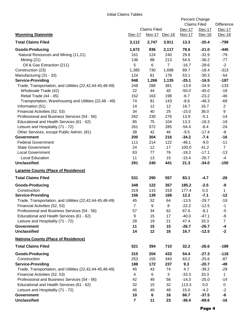|                                                                                           | <b>Claims Filed</b> |               |                | Percent Change<br><b>Claims Filed</b><br>Dec-17<br>Dec-17 |                 | Difference<br>Dec-17  |
|-------------------------------------------------------------------------------------------|---------------------|---------------|----------------|-----------------------------------------------------------|-----------------|-----------------------|
| <b>Wyoming Statewide</b>                                                                  | Dec-17              | Nov-17 Dec-16 |                | Nov-17                                                    | Dec-16          | Dec-16                |
| <b>Total Claims Filed</b>                                                                 | 3,112               | 2,747         | 3,911          | 13.3                                                      | $-20.4$         | $-799$                |
| <b>Goods-Producing</b>                                                                    | 1,672               | 936           | 2,117          | 78.6                                                      | $-21.0$         | $-445$                |
| Natural Resources and Mining (11,21)                                                      | 161                 | 124           | 240            | 29.8                                                      | $-32.9$         | $-79$                 |
| Mining (21)                                                                               | 136                 | 88            | 213            | 54.5                                                      | $-36.2$         | $-77$                 |
| Oil & Gas Extraction (211)                                                                | 5                   | 6             | $\overline{7}$ | $-16.7$                                                   | $-28.6$         | $-2$                  |
| Construction (23)                                                                         | 1,385               | 730           | 1,698          | 89.7                                                      | $-18.4$         | $-313$                |
| Manufacturing (31 - 33)                                                                   | 124                 | 81            | 178            | 53.1                                                      | $-30.3$         | $-54$                 |
| <b>Service-Providing</b>                                                                  | 948                 | 1,266         | 1,135          | $-25.1$                                                   | $-16.5$         | $-187$                |
| Trade, Transportation, and Utilities (22,42,44-45,48-49)                                  | 248                 | 288           | 381            | $-13.9$                                                   | $-34.9$         | $-133$                |
| Wholesale Trade (42)                                                                      | 22                  | 44            | 40             | $-50.0$                                                   | $-45.0$         | $-18$                 |
| Retail Trade (44 - 45)                                                                    | 152                 | 163           | 198            | $-6.7$                                                    | $-23.2$         | $-46$                 |
| Transportation, Warehousing and Utilities (22,48 - 49)                                    | 74                  | 81            | 143            | $-8.6$                                                    | $-48.3$         | $-69$                 |
| Information (51)                                                                          | 14                  | 12            | 12             | 16.7                                                      | 16.7            | $\mathbf{2}$          |
| Financial Activities (52, 53)                                                             | 34                  | 40            | 25             | $-15.0$                                                   | 36.0            | 9                     |
| Professional and Business Services (54 - 56)                                              | 262                 | 230           | 276            | 13.9                                                      | $-5.1$          | $-14$                 |
| Educational and Health Services (61 - 62)                                                 | 85                  | 75            | 104            | 13.3                                                      | $-18.3$         | $-19$                 |
| Leisure and Hospitality (71 - 72)                                                         | 261                 | 572           | 285            | $-54.4$                                                   | $-8.4$          | $-24$                 |
| Other Services, except Public Admin. (81)                                                 | 38                  | 42            | 46             | $-9.5$                                                    | $-17.4$         | -8                    |
| <b>Government</b>                                                                         | 200                 | 304           | 216            | $-34.2$                                                   | $-7.4$          | $-16$                 |
| <b>Federal Government</b>                                                                 | 111                 | 214           | 122            | $-48.1$                                                   | $-9.0$          | $-11$                 |
| <b>State Government</b>                                                                   | 24                  | 12            | 17             | 100.0                                                     | 41.2            | $\overline{7}$        |
| <b>Local Government</b>                                                                   | 63                  | 77            | 76             | $-18.2$                                                   | $-17.1$         | $-13$                 |
| <b>Local Education</b>                                                                    | 11                  | 13            | 15             | $-15.4$                                                   | $-26.7$         | $-4$                  |
| <b>Unclassified</b>                                                                       | 291                 | 240           | 441            | 21.3                                                      | $-34.0$         | $-150$                |
| <b>Laramie County (Place of Residence)</b>                                                |                     |               |                |                                                           |                 |                       |
| <b>Total Claims Filed</b>                                                                 | 531                 | 290           | 557            | 83.1                                                      | $-4.7$          | $-26$                 |
| <b>Goods-Producing</b>                                                                    | 348                 | 122           | 357            | 185.2                                                     | $-2.5$          | -9                    |
| Construction                                                                              | 319                 | 115           | 318            | 177.4                                                     | 0.3             | 1                     |
| <b>Service-Providing</b>                                                                  | 156                 | 139           | 168            | 12.2                                                      | $-7.1$          | $-12$                 |
| Trade, Transportation, and Utilities (22,42,44-45,48-49)                                  | 45                  | 52            | 64             | $-13.5$                                                   | $-29.7$         | $-19$                 |
| Financial Activities (52, 53)                                                             | $\overline{7}$      | 9             | 8              | $-22.2$                                                   | $-12.5$         | $-1$                  |
| Professional and Business Services (54 - 56)                                              | 57                  | 34            | 62             | 67.6                                                      | $-8.1$          | $-5$                  |
| Educational and Health Services (61 - 62)                                                 | 9                   | 15            | 17             | $-40.0$                                                   | $-47.1$         | -8                    |
| Leisure and Hospitality (71 - 72)                                                         | 28                  | 19            | 21             | 47.4                                                      | 33.3            | $\overline{7}$        |
| <b>Government</b>                                                                         | 11                  | 15            | 15             | $-26.7$                                                   | $-26.7$         | $-4$<br>$-2$          |
| <b>Unclassified</b>                                                                       | 14                  | 12            | 16             | 16.7                                                      | $-12.5$         |                       |
| <b>Natrona County (Place of Residence)</b>                                                |                     |               |                |                                                           |                 |                       |
| <b>Total Claims Filed</b>                                                                 | 521                 | 394           | 710            | 32.2                                                      | $-26.6$         | $-189$                |
| <b>Goods-Producing</b>                                                                    | 315                 | 204           | 433            | 54.4                                                      | $-27.3$         | $-118$                |
| Construction                                                                              | 253                 | 155           | 340            | 63.2                                                      | $-25.6$         | $-87$<br>$-49$        |
| <b>Service-Providing</b>                                                                  | 188                 | 172           | 237            | 9.3                                                       | $-20.7$         |                       |
| Trade, Transportation, and Utilities (22,42,44-45,48-49)<br>Financial Activities (52, 53) | 45<br>4             | 43<br>6       | 74<br>3        | 4.7<br>$-33.3$                                            | $-39.2$<br>33.3 | $-29$<br>$\mathbf{1}$ |
| Professional and Business Services (54 - 56)                                              | 42                  | 49            | 56             | $-14.3$                                                   | $-25.0$         | $-14$                 |
| Educational and Health Services (61 - 62)                                                 | 32                  | 15            | 32             | 113.3                                                     | 0.0             | $\mathbf 0$           |
| Leisure and Hospitality (71 - 72)                                                         | 46                  | 40            | 48             | 15.0                                                      | $-4.2$          | $-2$                  |
| <b>Government</b>                                                                         | 10                  | $\bf 6$       | 16             | 66.7                                                      | $-37.5$         | -6                    |
| <b>Unclassified</b>                                                                       | $\overline{7}$      | 11            | 23             | $-36.4$                                                   | $-69.6$         | $-16$                 |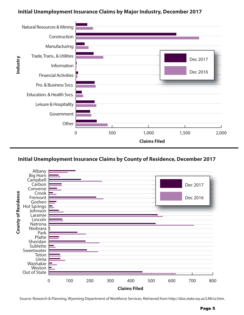#### **Initial Unemployment Insurance Claims by Major Industry, December 2017**



#### **Initial Unemployment Insurance Claims by County of Residence, December 2017**



Source: Research & Planning, Wyoming Department of Workforce Services. Retrieved from http://doe.state.wy.us/LMI/ui.htm.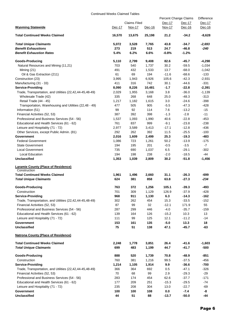#### Continued Weeks Claimed Tables

|                                                          |        |                     |               | Percent Change Claims |         | Difference |
|----------------------------------------------------------|--------|---------------------|---------------|-----------------------|---------|------------|
|                                                          |        | <b>Claims Filed</b> |               | Dec-17                | Dec-17  | Dec-17     |
| <b>Wyoming Statewide</b>                                 | Dec-17 | Nov-17              | <u>Dec-16</u> | <b>Nov-17</b>         | Dec-16  | Dec-16     |
| <b>Total Continued Weeks Claimed</b>                     | 16,570 | 13,675              | 25,198        | 21.2                  | $-34.2$ | -8,628     |
| <b>Total Unique Claimants</b>                            | 5,072  | 3,528               | 7,765         | 43.8                  | -34.7   | $-2,693$   |
| <b>Benefit Exhaustions</b>                               | 273    | 219                 | 513           | 24.7                  | $-46.8$ | -240       |
| <b>Benefit Exhaustion Rates</b>                          | 5.4%   | 6.2%                | 6.6%          | $-0.8%$               | $-1.2%$ |            |
| <b>Goods-Producing</b>                                   | 5,110  | 2,799               | 9,408         | 82.6                  | -45.7   | $-4,298$   |
| Natural Resources and Mining (11,21)                     | 703    | 540                 | 1,737         | 30.2                  | $-59.5$ | $-1,034$   |
| Mining $(21)$                                            | 491    | 432                 | 1,533         | 13.7                  | $-68.0$ | $-1,042$   |
| Oil & Gas Extraction (211)                               | 61     | 69                  | 194           | $-11.6$               | $-68.6$ | $-133$     |
| Construction (23)                                        | 3,995  | 1,943               | 6,926         | 105.6                 | $-42.3$ | $-2,931$   |
| Manufacturing (31 - 33)                                  | 411    | 316                 | 742           | 30.1                  | -44.6   | $-331$     |
| <b>Service-Providing</b>                                 | 8,090  | 8,226               | 10,481        | $-1.7$                | $-22.8$ | $-2,391$   |
| Trade, Transportation, and Utilities (22,42,44-45,48-49) | 2,029  | 1,955               | 3,168         | 3.8                   | $-36.0$ | $-1,139$   |
| Wholesale Trade (42)                                     | 335    | 268                 | 648           | 25.0                  | $-48.3$ | $-313$     |
| Retail Trade (44 - 45)                                   | 1,217  | 1,182               | 1,615         | 3.0                   | $-24.6$ | $-398$     |
| Transportation, Warehousing and Utilities (22,48 - 49)   | 477    | 505                 | 905           | $-5.5$                | $-47.3$ | $-428$     |
| Information (51)                                         | 99     | 92                  | 114           | 7.6                   | $-13.2$ | $-15$      |
| Financial Activities (52, 53)                            | 387    | 392                 | 398           | $-1.3$                | $-2.8$  | $-11$      |
| Professional and Business Services (54 - 56)             | 1,537  | 1,093               | 1,990         | 40.6                  | $-22.8$ | $-453$     |
| Educational and Health Services (61 - 62)                | 761    | 837                 | 999           | $-9.1$                | $-23.8$ | $-238$     |
| Leisure and Hospitality (71 - 72)                        | 2,977  | 3,589               | 3,413         | $-17.1$               | $-12.8$ | $-436$     |
| Other Services, except Public Admin. (81)                | 292    | 262                 | 392           | 11.5                  | $-25.5$ | $-100$     |
| Government                                               | 2,016  | 1,609               | 2,499         | 25.3                  | $-19.3$ | $-483$     |
| <b>Federal Government</b>                                | 1,086  | 723                 | 1,261         | 50.2                  | $-13.9$ | $-175$     |
| <b>State Government</b>                                  | 194    | 195                 | 201           | $-0.5$                | $-3.5$  | $-7$       |
| <b>Local Government</b>                                  | 735    | 690                 | 1,037         | 6.5                   | $-29.1$ | $-302$     |
| Local Education                                          | 194    | 198                 | 238           | $-2.0$                | $-18.5$ | -44        |
| <b>Unclassified</b>                                      | 1,353  | 1,039               | 2,809         | 30.2                  | $-51.8$ | $-1,456$   |
| <b>Laramie County (Place of Residence)</b>               |        |                     |               |                       |         |            |
| Construction                                             |        |                     |               |                       |         |            |
| <b>Total Continued Weeks Claimed</b>                     | 1,961  | 1,496               | 2,660         | 31.1                  | $-26.3$ | -699       |
| <b>Total Unique Claimants</b>                            | 624    | 381                 | 858           | 63.8                  | $-27.3$ | $-234$     |
| Goods-Producing                                          | 763    | 372                 | 1,256         | 105.1                 | $-39.3$ | -493       |
| Construction                                             | 701    | 309                 | 1,129         | 126.9                 | $-37.9$ | $-428$     |
| <b>Service-Providing</b>                                 | 968    | 911                 | 1,130         | 6.3                   | $-14.3$ | $-162$     |
| Trade, Transportation, and Utilities (22,42,44-45,48-49) | 302    | 262                 | 454           | 15.3                  | $-33.5$ | $-152$     |
| Financial Activities (52, 53)                            | 87     | 99                  | 32            | $-12.1$               | 171.9   | 55         |
| Professional and Business Services (54 - 56)             | 287    | 299                 | 446           | $-4.0$                | $-35.7$ | $-159$     |
| Educational and Health Services (61 - 62)                | 139    | 164                 | 126           | $-15.2$               | 10.3    | 13         |
| Leisure and Hospitality (71 - 72)                        | 111    | 99                  | 125           | 12.1                  | $-11.2$ | $-14$      |
| <b>Government</b>                                        | 153    | 161                 | 135           | $-5.0$                | 13.3    | 18         |
| <b>Unclassified</b>                                      | 75     | 51                  | 138           | 47.1                  | $-45.7$ | -63        |
| <b>Natrona County (Place of Residence)</b>               |        |                     |               |                       |         |            |
| <b>Total Continued Weeks Claimed</b>                     | 2,248  | 1,778               | 3,851         | 26.4                  | -41.6   | $-1,603$   |
| <b>Total Unique Claimants</b>                            | 699    | 483                 | 1,199         | 44.7                  | $-41.7$ | $-500$     |
| Goods-Producing                                          | 888    | 520                 | 1,739         | 70.8                  | -48.9   | -851       |
| Construction                                             | 760    | 381                 | 1,216         | 99.5                  | $-37.5$ | $-456$     |
| <b>Service-Providing</b>                                 | 1,214  | 1,105               | 1,914         | 9.9                   | $-36.6$ | -700       |
| Trade, Transportation, and Utilities (22,42,44-45,48-49) | 366    | 364                 | 692           | 0.5                   | $-47.1$ | $-326$     |
| Financial Activities (52, 53)                            | 70     | 68                  | 99            | 2.9                   | $-29.3$ | $-29$      |
| Professional and Business Services (54 - 56)             | 283    | 174                 | 454           | 62.6                  | $-37.7$ | $-171$     |
| Educational and Health Services (61 - 62)                | 177    | 209                 | 251           | $-15.3$               | $-29.5$ | $-74$      |
| Leisure and Hospitality (71 - 72)                        | 235    | 208                 | 304           | 13.0                  | $-22.7$ | $-69$      |
| Government                                               | 100    | 100                 | 108           | 0.0                   | $-7.4$  | -8         |
| <b>Unclassified</b>                                      | 44     | 51                  | 88            | $-13.7$               | $-50.0$ | $-44$      |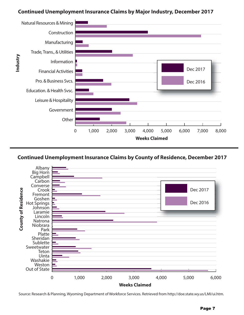#### **Continued Unemployment Insurance Claims by Major Industry, December 2017**





Source: Research & Planning, Wyoming Department of Workforce Services. Retrieved from http://doe.state.wy.us/LMI/ui.htm.